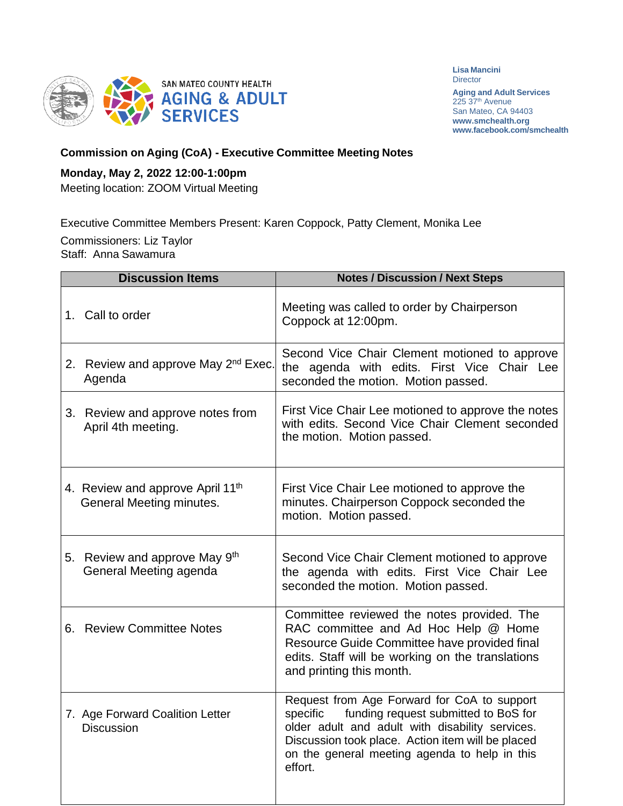

**Lisa Mancini Director** 

**Aging and Adult Services** 225 37<sup>th</sup> Avenue San Mateo, CA 94403 **[www.smchealth.org](http://www.smchealth.org/) [www.facebook.com/smchealth](http://www.facebook.com/smchealth)**

## **Commission on Aging (CoA) - Executive Committee Meeting Notes**

## **Monday, May 2, 2022 12:00-1:00pm**

Meeting location: ZOOM Virtual Meeting

Executive Committee Members Present: Karen Coppock, Patty Clement, Monika Lee

Commissioners: Liz Taylor Staff: Anna Sawamura

| <b>Discussion Items</b>                                      | <b>Notes / Discussion / Next Steps</b>                                                                                                                                                                                                                              |
|--------------------------------------------------------------|---------------------------------------------------------------------------------------------------------------------------------------------------------------------------------------------------------------------------------------------------------------------|
| 1. Call to order                                             | Meeting was called to order by Chairperson<br>Coppock at 12:00pm.                                                                                                                                                                                                   |
| 2. Review and approve May 2 <sup>nd</sup> Exec.<br>Agenda    | Second Vice Chair Clement motioned to approve<br>the agenda with edits. First Vice Chair Lee<br>seconded the motion. Motion passed.                                                                                                                                 |
| 3. Review and approve notes from<br>April 4th meeting.       | First Vice Chair Lee motioned to approve the notes<br>with edits. Second Vice Chair Clement seconded<br>the motion. Motion passed.                                                                                                                                  |
| 4. Review and approve April 11th<br>General Meeting minutes. | First Vice Chair Lee motioned to approve the<br>minutes. Chairperson Coppock seconded the<br>motion. Motion passed.                                                                                                                                                 |
| 5. Review and approve May 9th<br>General Meeting agenda      | Second Vice Chair Clement motioned to approve<br>the agenda with edits. First Vice Chair Lee<br>seconded the motion. Motion passed.                                                                                                                                 |
| 6. Review Committee Notes                                    | Committee reviewed the notes provided. The<br>RAC committee and Ad Hoc Help @ Home<br>Resource Guide Committee have provided final<br>edits. Staff will be working on the translations<br>and printing this month.                                                  |
| 7. Age Forward Coalition Letter<br><b>Discussion</b>         | Request from Age Forward for CoA to support<br>funding request submitted to BoS for<br>specific<br>older adult and adult with disability services.<br>Discussion took place. Action item will be placed<br>on the general meeting agenda to help in this<br>effort. |